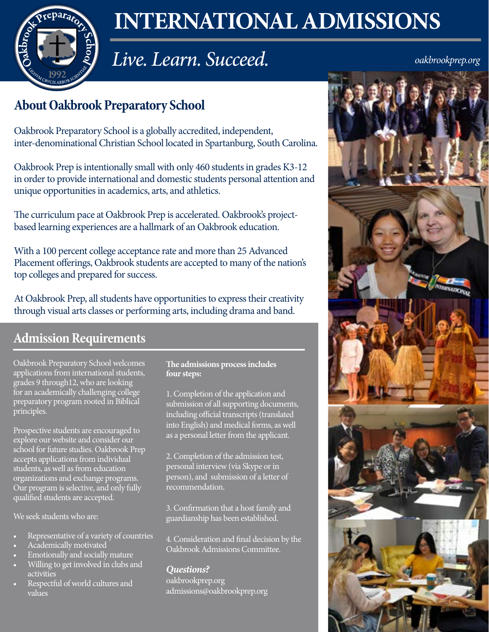

# **INTERNATIONAL ADMISSIONS**

# *Live. Learn. Succeed.*

*oakbrookprep.org*

# **About Oakbrook Preparatory School**

Oakbrook Preparatory School is a globally accredited, independent, inter-denominational Christian School located in Spartanburg, South Carolina.

Oakbrook Prep is intentionally small with only 460 students in grades K3-12 in order to provide international and domestic students personal attention and unique opportunities in academics, arts, and athletics.

The curriculum pace at Oakbrook Prep is accelerated. Oakbrook's projectbased learning experiences are a hallmark of an Oakbrook education.

With a 100 percent college acceptance rate and more than 25 Advanced Placement offerings, Oakbrook students are accepted to many of the nation's top colleges and prepared for success.

At Oakbrook Prep, all students have opportunities to express their creativity through visual arts classes or performing arts, including drama and band.

## **Admission Requirements**

Oakbrook Preparatory School welcomes applications from international students, grades 9 through12, who are looking for an academically challenging college preparatory program rooted in Biblical principles.

Prospective students are encouraged to explore our website and consider our school for future studies. Oakbrook Prep accepts applications from individual students, as well as from education organizations and exchange programs. Our program is selective, and only fully qualified students are accepted.

We seek students who are:

- Representative of a variety of countries
- Academically motivated
- Emotionally and socially mature
- Willing to get involved in clubs and activities
- Respectful of world cultures and values

**The admissions process includes four steps:**

1. Completion of the application and submission of all supporting documents, including official transcripts (translated into English) and medical forms, as well as a personal letter from the applicant.

2. Completion of the admission test, personal interview (via Skype or in person), and submission of a letter of recommendation.

3. Confirmation that a host family and guardianship has been established.

4. Consideration and final decision by the Oakbrook Admissions Committee.

#### *Questions?*

oakbrookprep.org admissions@oakbrookprep.org